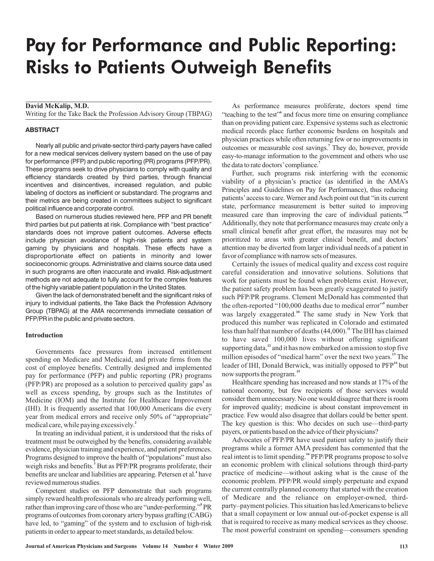# Pay for Performance and Public Reporting: Risks to Patients Outweigh Benefits

**David McKalip, M.D.**

Writing for the Take Back the Profession Advisory Group (TBPAG)

## **ABSTRACT**

Nearly all public and private-sector third-party payers have called for a new medical services delivery system based on the use of pay for performance (PFP) and public reporting (PR) programs (PFP/PR). These programs seek to drive physicians to comply with quality and efficiency standards created by third parties, through financial incentives and disincentives, increased regulation, and public labeling of doctors as inefficient or substandard. The programs and their metrics are being created in committees subject to significant political influence and corporate control.

Based on numerous studies reviewed here, PFP and PR benefit third parties but put patients at risk. Compliance with "best practice" standards does not improve patient outcomes. Adverse effects include physician avoidance of high-risk patients and system gaming by physicians and hospitals. These effects have a disproportionate effect on patients in minority and lower socioeconomic groups. Administrative and claims source data used in such programs are often inaccurate and invalid. Risk-adjustment methods are not adequate to fully account for the complex features of the highly variable patient population in the United States.

Given the lack of demonstrated benefit and the significant risks of injury to individual patients, the Take Back the Profession Advisory Group (TBPAG) at the AMA recommends immediate cessation of PFP/PR in the public and private sectors.

#### **Introduction**

Governments face pressures from increased entitlement spending on Medicare and Medicaid, and private firms from the cost of employee benefits. Centrally designed and implemented pay for performance (PFP) and public reporting (PR) programs (PFP/PR) are proposed as a solution to perceived quality gaps<sup>1</sup> as well as excess spending, by groups such as the Institutes of Medicine (IOM) and the Institute for Healthcare Improvement (IHI). It is frequently asserted that 100,000 Americans die every year from medical errors and receive only 50% of "appropriate" medical care, while paying excessively. **2**

In treating an individual patient, it is understood that the risks of treatment must be outweighed by the benefits, considering available evidence, physician training and experience, and patient preferences. Programs designed to improve the health of "populations" must also weigh risks and benefits.<sup>3</sup> But as PFP/PR programs proliferate, their benefits are unclear and liabilities are appearing. Petersen et al.<sup>4</sup> have reviewed numerous studies.

Competent studies on PFP demonstrate that such programs simply reward health professionals who are already performing well, rather than improving care of those who are "under-performing."<sup>5</sup> PR programs of outcomes from coronary artery bypass grafting (CABG) have led, to "gaming" of the system and to exclusion of high-risk patients in order to appear to meet standards, as detailed below.

As performance measures proliferate, doctors spend time "teaching to the test" and focus more time on ensuring compliance than on providing patient care. Expensive systems such as electronic medical records place further economic burdens on hospitals and physician practices while often returning few or no improvements in outcomes or measurable cost savings.<sup>7</sup> They do, however, provide easy-to-manage information to the government and others who use the data to rate doctors'compliance. **7**

Further, such programs risk interfering with the economic viability of a physician's practice (as identified in the AMA's Principles and Guidelines on Pay for Performance), thus reducing patients'access to care. Werner andAsch point out that "in its current state, performance measurement is better suited to improving measured care than improving the care of individual patients." **8** Additionally, they note that performance measures may create only a small clinical benefit after great effort, the measures may not be prioritized to areas with greater clinical benefit, and doctors' attention may be diverted from larger individual needs of a patient in favor of compliance with narrow sets of measures.

Certainly the issues of medical quality and excess cost require careful consideration and innovative solutions. Solutions that work for patients must be found when problems exist. However, the patient safety problem has been greatly exaggerated to justify such PFP/PR programs. Clement McDonald has commented that the often-reported "100,000 deaths due to medical error"<sup>9</sup> number was largely exaggerated.<sup>10</sup> The same study in New York that produced this number was replicated in Colorado and estimated less than half that number of deaths (44,000).<sup>11</sup> The IHI has claimed to have saved 100,000 lives without offering significant supporting data,<sup>12</sup> and it has now embarked on a mission to stop five million episodes of "medical harm" over the next two years.<sup>13</sup> The leader of IHI, Donald Berwick, was initially opposed to PFP<sup>14</sup> but now supports the program. **15**

Healthcare spending has increased and now stands at 17% of the national economy, but few recipients of those services would consider them unnecessary. No one would disagree that there is room for improved quality; medicine is about constant improvement in practice. Few would also disagree that dollars could be better spent. The key question is this: Who decides on such use—third-party payers, or patients based on the advice of their physicians?

Advocates of PFP/PR have used patient safety to justify their programs while a former AMA president has commented that the real intent is to limit spending.<sup>16</sup> PFP/PR programs propose to solve an economic problem with clinical solutions through third-party practice of medicine—without asking what is the cause of the economic problem. PFP/PR would simply perpetuate and expand the current centrally planned economy that started with the creation of Medicare and the reliance on employer-owned, thirdparty–payment policies. This situation has ledAmericans to believe that a small copayment or low annual out-of-pocket expense is all that is required to receive as many medical services as they choose. The most powerful constraint on spending—consumers spending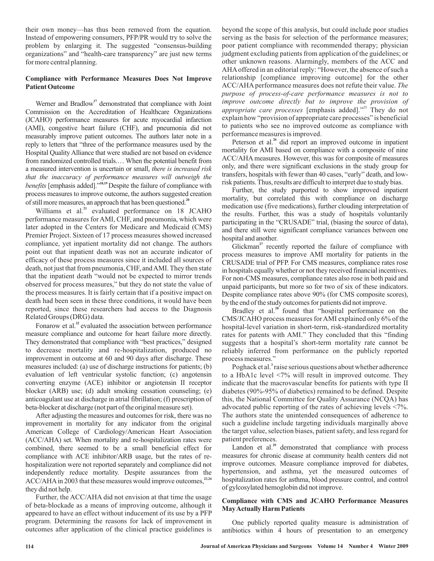their own money—has thus been removed from the equation. Instead of empowering consumers, PFP/PR would try to solve the problem by enlarging it. The suggested "consensus-building organizations" and "health-care transparency" are just new terms for more central planning.

# **Compliance with Performance Measures Does Not Improve Patient Outcome**

Werner and Bradlow<sup>17</sup> demonstrated that compliance with Joint Commission on the Accreditation of Healthcare Organizations (JCAHO) performance measures for acute myocardial infarction (AMI), congestive heart failure (CHF), and pneumonia did not measurably improve patient outcomes. The authors later note in a reply to letters that "three of the performance measures used by the Hospital Quality Alliance that were studied are not based on evidence from randomized controlled trials.… When the potential benefit from a measured intervention is uncertain or small, *there is increased risk benefits* [emphasis added]."<sup>18,19</sup> Despite the failure of compliance with process measures to improve outcome, the authors suggested creation of still more measures, an approach that has been questioned. **20** *that the inaccuracy of performance measures will outweigh the*

Williams et al.<sup>21</sup> evaluated performance on 18 JCAHO performance measures for AMI, CHF, and pneumonia, which were later adopted in the Centers for Medicare and Medicaid (CMS) Premier Project. Sixteen of 17 process measures showed increased compliance, yet inpatient mortality did not change. The authors point out that inpatient death was not an accurate indicator of efficacy of these process measures since it included all sources of death, not just that from pneumonia, CHF, andAMI. They then state that the inpatient death "would not be expected to mirror trends observed for process measures," but they do not state the value of the process measures. It is fairly certain that if a positive impact on death had been seen in these three conditions, it would have been reported, since these researchers had access to the Diagnosis Related Groups (DRG) data.

Fonarow et al.<sup>22</sup> evaluated the association between performance measure compliance and outcome for heart failure more directly. They demonstrated that compliance with "best practices," designed to decrease mortality and re-hospitalization, produced no improvement in outcome at 60 and 90 days after discharge. These measures included: (a) use of discharge instructions for patients; (b) evaluation of left ventricular systolic function; (c) angotensin converting enzyme (ACE) inhibitor or angiotensin II receptor blocker (ARB) use; (d) adult smoking cessation counseling; (e) anticoagulant use at discharge in atrial fibrillation; (f) prescription of beta-blocker at discharge (not part of the original measure set).

After adjusting the measures and outcomes for risk, there was no improvement in mortality for any indicator from the original American College of Cardiology/American Heart Association (ACC/AHA) set. When mortality and re-hospitalization rates were combined, there seemed to be a small beneficial effect for compliance with ACE inhibitor/ARB usage, but the rates of rehospitalization were not reported separately and compliance did not independently reduce mortality. Despite assurances from the ACC/AHA in 2003 that these measures would improve outcomes,<sup>23,24</sup> they did not help.

Further, the ACC/AHA did not envision at that time the usage of beta-blockade as a means of improving outcome, although it appeared to have an effect without inducement of its use by a PFP program. Determining the reasons for lack of improvement in outcomes after application of the clinical practice guidelines is beyond the scope of this analysis, but could include poor studies serving as the basis for selection of the performance measures; poor patient compliance with recommended therapy; physician judgment excluding patients from application of the guidelines; or other unknown reasons. Alarmingly, members of the ACC and AHAoffered in an editorial reply: "However, the absence of such a relationship [compliance improving outcome] for the other ACC/AHA performance measures does not refute their value. *The* appropriate care processes [emphasis added]."<sup>25</sup> They do not explain how "provision of appropriate care processes" is beneficial to patients who see no improved outcome as compliance with performance measures is improved. *purpose of process-of-care performance measures is not to improve outcome directly but to improve the provision of*

Peterson et al.<sup>26</sup> did report an improved outcome in inpatient mortality for AMI based on compliance with a composite of nine ACC/AHA measures. However, this was for composite of measures only, and there were significant exclusions in the study group for transfers, hospitals with fewer than 40 cases, "early" death, and lowrisk patients. Thus, results are difficult to interpret due to study bias.

Further, the study purported to show improved inpatient mortality, but correlated this with compliance on discharge medication use (five medications), further clouding interpretation of the results. Further, this was a study of hospitals voluntarily participating in the "CRUSADE" trial, (biasing the source of data), and there still were significant compliance variances between one hospital and another.

Glickman<sup>27</sup> recently reported the failure of compliance with process measures to improve AMI mortality for patients in the CRUSADE trial of PFP. For CMS measures, compliance rates rose in hospitals equally whether or not they received financial incentives. For non-CMS measures, compliance rates also rose in both paid and unpaid participants, but more so for two of six of these indicators. Despite compliance rates above 90% (for CMS composite scores), by the end of the study outcomes for patients did not improve.

Bradley et al.<sup>28</sup> found that "hospital performance on the CMS/JCAHO process measures for AMI explained only 6% of the hospital-level variation in short-term, risk-standardized mortality rates for patents with AMI." They concluded that this "finding suggests that a hospital's short-term mortality rate cannot be reliably inferred from performance on the publicly reported process measures."

Poghack et al.<sup>3</sup> raise serious questions about whether adherence to a HbA1c level <7% will result in improved outcome. They indicate that the macrovascular benefits for patients with type II diabetes (90%-95% of diabetics) remained to be defined. Despite this, the National Committee for Quality Assurance (NCQA) has advocated public reporting of the rates of achieving levels <7%. The authors state the unintended consequences of adherence to such a guideline include targeting individuals marginally above the target value, selection biases, patient safety, and less regard for patient preferences.

Landon et al.<sup>29</sup> demonstrated that compliance with process measures for chronic disease at community health centers did not improve outcomes. Measure compliance improved for diabetes, hypertension, and asthma, yet the measured outcomes of hospitalization rates for asthma, blood pressure control, and control of gylcosylated hemoglobin did not improve.

# **Compliance with CMS and JCAHO Performance Measures MayActually Harm Patients**

One publicly reported quality measure is administration of antibiotics within 4 hours of presentation to an emergency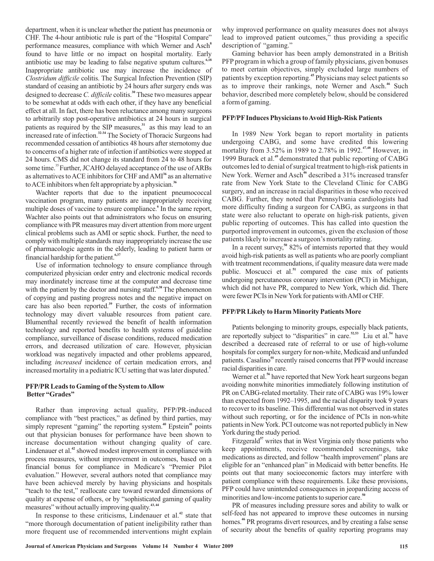*Clostridum difficile* colitis. The Surgical Infection Prevention (SIP) standard of ceasing an antibiotic by 24 hours after surgery ends was designed to decrease C. difficile colitis.<sup>30</sup> These two measures appear to be somewhat at odds with each other, if they have any beneficial effect at all. In fact, there has been reluctance among many surgeons to arbitrarily stop post-operative antibiotics at 24 hours in surgical patients as required by the SIP measures, $3<sup>31</sup>$  as this may lead to an increased rate of infection.<sup>32,34</sup> The Society of Thoracic Surgeons had recommended cessation of antibiotics 48 hours after sternotomy due to concerns of a higher rate of infection if antibiotics were stopped at 24 hours. CMS did not change its standard from 24 to 48 hours for some time.<sup>35</sup> Further, JCAHO delayed acceptance of the use of ARBs as alternatives to ACE inhibitors for CHF and AMI<sup>36</sup> as an alternative toACE inhibitors when felt appropriate by a physician. **36** Wachter reports that due to the inpatient pneumococcal vaccination program, many patients are inappropriately receiving multiple doses of vaccine to ensure compliance.<sup>6</sup> In the same report, Wachter also points out that administrators who focus on ensuring compliance with PR measures may divert attention from more urgent clinical problems such as AMI or septic shock. Further, the need to comply with multiple standards may inappropriately increase the use **31 32-34**

department, when it is unclear whether the patient has pneumonia or CHF. The 4-hour antibiotic rule is part of the "Hospital Compare" performance measures, compliance with which Werner and Asch **8** found to have little or no impact on hospital mortality. Early antibiotic use may be leading to false negative sputum cultures. **6,18** Inappropriate antibiotic use may increase the incidence of

financial hardship for the patient. **6,37** Use of information technology to ensure compliance through computerized physician order entry and electronic medical records may inordinately increase time at the computer and decrease time with the patient by the doctor and nursing staff.<sup>6,38</sup> The phenomenon of copying and pasting progress notes and the negative impact on care has also been reported.<sup>39</sup> Further, the costs of information technology may divert valuable resources from patient care. Blumenthal recently reviewed the benefit of health information technology and reported benefits to health systems of guideline compliance, surveillance of disease conditions, reduced medication errors, and decreased utilization of care. However, physician workload was negatively impacted and other problems appeared, including *increased* incidence of certain medication errors, and increased mortality in a pediatric ICU setting that was later disputed. **7**

of pharmacologic agents in the elderly, leading to patient harm or

## **PFP/PR Leads to Gaming of the System toAllow Better "Grades"**

Rather than improving actual quality, PFP/PR-induced compliance with "best practices," as defined by third parties, may simply represent "gaming" the reporting system.<sup>40</sup> Epstein<sup>41</sup> points out that physician bonuses for performance have been shown to increase documentation without changing quality of care. Lindenauer et al.<sup>42</sup> showed modest improvement in compliance with process measures, without improvement in outcomes, based on a financial bonus for compliance in Medicare's "Premier Pilot evaluation." However, several authors noted that compliance may have been achieved merely by having physicians and hospitals "teach to the test," reallocate care toward rewarded dimensions of quality at expense of others, or by "sophisticated gaming of quality measures" without actually improving quality. **43, 44**

In response to these criticisms, Lindenauer et al.<sup>42</sup> state that "more thorough documentation of patient ineligibility rather than more frequent use of recommended interventions might explain why improved performance on quality measures does not always lead to improved patient outcomes," thus providing a specific description of "gaming."

Gaming behavior has been amply demonstrated in a British PFP program in which a group of family physicians, given bonuses to meet certain objectives, simply excluded large numbers of patients by exception reporting.<sup>45</sup> Physicians may select patients so as to improve their rankings, note Werner and Asch.<sup>46</sup> Such behavior, described more completely below, should be considered a form of gaming.

# **PFP/PFInduces Physicians toAvoid High-Risk Patients**

In 1989 New York began to report mortality in patients undergoing CABG, and some have credited this lowering mortality from 3.52% in 1989 to 2.78% in 1992.<sup>47,48</sup> However, in 1999 Burack et al.<sup>49</sup> demonstrated that public reporting of CABG outcomes led to denial of surgical treatment to high-risk patients in New York. Werner and Asch<sup>46</sup> described a 31% increased transfer rate from New York State to the Cleveland Clinic for CABG surgery, and an increase in racial disparities in those who received CABG. Further, they noted that Pennsylvania cardiologists had more difficulty finding a surgeon for CABG, as surgeons in that state were also reluctant to operate on high-risk patients, given public reporting of outcomes. This has called into question the purported improvement in outcomes, given the exclusion of those patients likely to increase a surgeon's mortality rating.

In a recent survey,<sup>50</sup> 82% of internists reported that they would avoid high-risk patients as well as patients who are poorly compliant with treatment recommendations, if quality measure data were made public. Moscucci et al.<sup>51</sup> compared the case mix of patients undergoing percutaneous coronary intervention (PCI) in Michigan, which did not have PR, compared to New York, which did. There were fewer PCIs in NewYork for patients withAMI or CHF.

### **PFP/PR Likely to Harm Minority Patients More**

Patients belonging to minority groups, especially black patients, are reportedly subject to "disparities" in care.<sup>52,53</sup> Liu et al.<sup>54</sup> have described a decreased rate of referral to or use of high-volume hospitals for complex surgery for non-white, Medicaid and unfunded patients. Casalino<sup>55</sup> recently raised concerns that PFP would increase racial disparities in care.

Werner et al.<sup>56</sup> have reported that New York heart surgeons began avoiding nonwhite minorities immediately following institution of PR on CABG-related mortality. Their rate of CABG was 19% lower than expected from 1992–1995, and the racial disparity took 9 years to recover to its baseline. This differential was not observed in states without such reporting, or for the incidence of PCIs in non-white patients in NewYork. PCI outcome was not reported publicly in New York during the study period.

Fitzgerald<sup>57</sup> writes that in West Virginia only those patients who keep appointments, receive recommended screenings, take medications as directed, and follow "health improvement" plans are eligible for an "enhanced plan" in Medicaid with better benefits. He points out that many socioeconomic factors may interfere with patient compliance with these requirements. Like these provisions, PFP could have unintended consequences in jeopardizing access of minorities and low-income patients to superior care. **50**

PR of measures including pressure sores and ability to walk or self-feed has not appeared to improve these outcomes in nursing homes.<sup>46</sup> PR programs divert resources, and by creating a false sense of security about the benefits of quality reporting programs may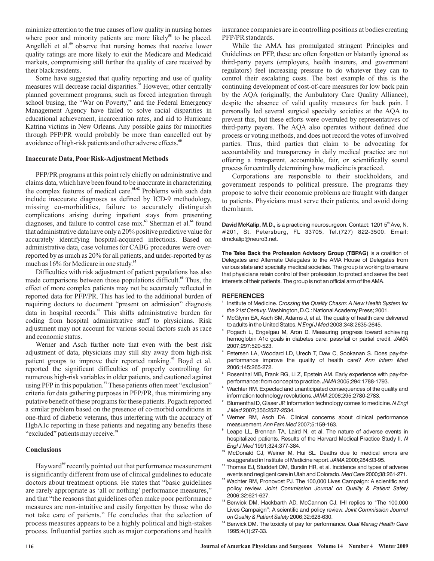minimize attention to the true causes of low quality in nursing homes where poor and minority patients are more likely<sup>58</sup> to be placed. Angelleli et al.<sup>59</sup> observe that nursing homes that receive lower quality ratings are more likely to exit the Medicare and Medicaid markets, compromising still further the quality of care received by their black residents.

Some have suggested that quality reporting and use of quality measures will decrease racial disparities.<sup>52</sup> However, other centrally planned government programs, such as forced integration through school busing, the "War on Poverty," and the Federal Emergency Management Agency have failed to solve racial disparities in educational achievement, incarceration rates, and aid to Hurricane Katrina victims in New Orleans. Any possible gains for minorities through PFP/PR would probably be more than cancelled out by avoidance of high-risk patients and other adverse effects. **60**

## **Inaccurate Data, Poor Risk-Adjustment Methods**

PFP/PR programs at this point rely chiefly on administrative and claims data, which have been found to be inaccurate in characterizing the complex features of medical care.<sup>61,62</sup> Problems with such data include inaccurate diagnoses as defined by ICD-9 methodology, missing co-morbidities, failure to accurately distinguish complications arising during inpatient stays from presenting diagnoses, and failure to control case mix.<sup>63</sup> Sherman et al.<sup>64</sup> found that administrative data have only a 20% positive predictive value for accurately identifying hospital-acquired infections. Based on administrative data, case volumes for CABG procedures were overreported by as much as 20% for all patients, and under-reported by as much as 16% for Medicare in one study. **65**

Difficulties with risk adjustment of patient populations has also made comparisons between those populations difficult.<sup>66</sup> Thus, the effect of more complex patients may not be accurately reflected in reported data for PFP/PR. This has led to the additional burden of requiring doctors to document "present on admission" diagnosis data in hospital records.<sup>67</sup> This shifts administrative burden for coding from hospital administrative staff to physicians. Risk adjustment may not account for various social factors such as race and economic status.

Werner and Asch further note that even with the best risk adjustment of data, physicians may still shy away from high-risk patient groups to improve their reported ranking.<sup>46</sup> Boyd et al. reported the significant difficulties of properly controlling for numerous high-risk variables in older patients, and cautioned against using PFP in this population.<sup>37</sup> These patients often meet "exclusion" criteria for data gathering purposes in PFP/PR, thus minimizing any putative benefit of these programs for these patients. Pogach reported a similar problem based on the presence of co-morbid conditions in one-third of diabetic veterans, thus interfering with the accuracy of HgbA1c reporting in these patients and negating any benefits these "excluded" patients may receive. **68**

## **Conclusions**

Hayward<sup>69</sup> recently pointed out that performance measurement is significantly different from use of clinical guidelines to educate doctors about treatment options. He states that "basic guidelines are rarely appropriate as 'all or nothing' performance measures," and that "the reasons that guidelines often make poor performance measures are non-intuitive and easily forgotten by those who do not take care of patients." He concludes that the selection of process measures appears to be a highly political and high-stakes process. Influential parties such as major corporations and health insurance companies are in controlling positions at bodies creating PFP/PR standards.

While the AMA has promulgated stringent Principles and Guidelines on PFP, these are often forgotten or blatantly ignored as third-party payers (employers, health insurers, and government regulators) feel increasing pressure to do whatever they can to control their escalating costs. The best example of this is the continuing development of cost-of-care measures for low back pain by the AQA (originally, the Ambulatory Care Quality Alliance), despite the absence of valid quality measures for back pain. I personally led several surgical specialty societies at the AQA to prevent this, but these efforts were overruled by representatives of third-party payers. The AQA also operates without defined due process or voting methods, and does not record the votes of involved parties. Thus, third parties that claim to be advocating for accountability and transparency in daily medical practice are not offering a transparent, accountable, fair, or scientifically sound process for centrally determining how medicine is practiced.

Corporations are responsible to their stockholders, and government responds to political pressure. The programs they propose to solve their economic problems are fraught with danger to patients. Physicians must serve their patients, and avoid doing them harm.

**David McKalip, M.D.,** is a practicing neurosurgeon. Contact: 1201 5<sup>th</sup> Ave, N. #201, St. Petersburg, FL 33705, Tel.(727) 822-3500. Email: dmckalip@neuro3.net.

**The Take Back the Profession Advisory Group (TBPAG)** is a coalition of Delegates and Alternate Delegates to the AMA House of Delegates from various state and specialty medical societies. The group is working to ensure that physicians retain control of their profession, to protect and serve the best interests of their patients. The group is not an official arm of the AMA.

## **REFERENCES**

- Institute of Medicine. *Crossing the Quality Chasm: A New Health System for the 21st Century.* Washington, D.C.: National Academy Press; 2001. **1**
- McGlynn EA, Asch SM, Adams J, et al. The quality of health care delivered to adults in the United States. *N Engl J Med* 2003;348:2635-2645. **2**
- <sup>3</sup> Pogach L, Engelgau M, Aron D. Measuring progress toward achieving hemoglobin A1c goals in diabetes care: pass/fail or partial credit. *JAMA* 2007;297:520-523.
- Petersen LA, Woodard LD, Urech T, Daw C, Sookanan S. Does pay-forperformance improve the quality of health care? *Ann Intern Med* 2006;145:265-272. **4**
- <sup>5</sup> Rosenthal MB, Frank RG, Li Z, Epstein AM. Early experience with pay-forperformance: from concept to practice. 2005;294:1788-1793. *JAMA*
- Wachter RM. Expected and unanticipated consequences of the quality and information technology revolutions. JAMA 2006;295:2780-2783. **6**
- Blumenthal D, Glaser JP. Information technology comes to medicine. *N Engl* 2007;356:2527-2534. *J Med* **7**
- Werner RM, Asch DA. Clinical concerns about clinical performance **8** measurement. 2007;5:159-163. *Ann Fam Med*
- Leape LL, Brennan TA, Laird N, et al. The nature of adverse events in **9** hospitalized patients. Results of the Harvard Medical Practice Study II. *N* 1991;324:377-384. *Engl J Med*
- McDonald CJ, Weiner M, Hui SL. Deaths due to medical errors are exaggerated in Institute of Medicine report. JAMA 2000;284:93-95. **10**
- <sup>11</sup> Thomas EJ, Studdert DM, Burstin HR, et al. Incidence and types of adverse events and negligent care in Utah and Colorado. Med Care 2000;38:261-271.
- <sup>12</sup> Wachter RM, Pronovost PJ. The 100,000 Lives Campaign: A scientific and policy review. *Joint Commission Journal on Quality & Patient Safety* 2006;32:621-627.
- <sup>13</sup> Berwick DM, Hackbarth AD, McCannon CJ. IHI replies to "The 100,000 Lives Campaign": A scientific and policy review. *Joint Commission Journal* 2006;32:628-630. *on Quality & Patient Safety*
- <sup>14</sup> Berwick DM. The toxicity of pay for performance. Qual Manag Health Care 1995;4(1):27-33.